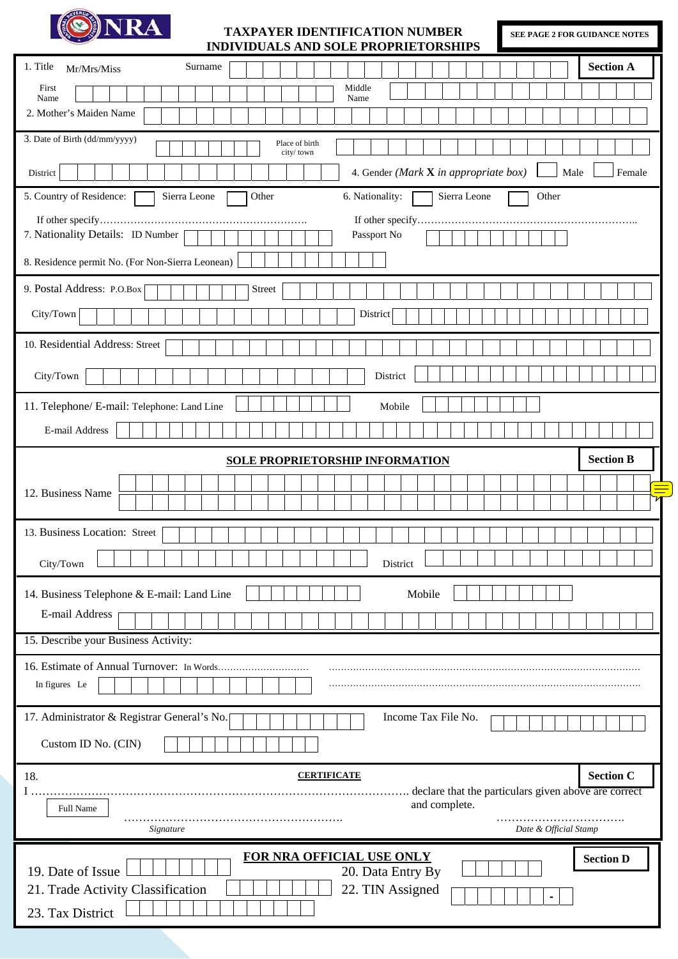

#### **TAXPAYER IDENTIFICATION NUMBER INDIVIDUALS AND SOLE PROPRIETORSHIPS**

**SEE PAGE 2 FOR GUIDANCE NOTES** 

| INDIVIDUALS AND SOLE PROPRIETORSHIPS                                                          |
|-----------------------------------------------------------------------------------------------|
| 1. Title<br><b>Section A</b><br>Surname<br>Mr/Mrs/Miss                                        |
| First<br>Middle<br>Name<br>Name                                                               |
| 2. Mother's Maiden Name                                                                       |
| 3. Date of Birth (dd/mm/yyyy)<br>Place of birth<br>city/town                                  |
| 4. Gender (Mark $X$ in appropriate box)<br>Male<br>Female<br>District                         |
| 5. Country of Residence:<br>Sierra Leone<br>Sierra Leone<br>6. Nationality:<br>Other<br>Other |
|                                                                                               |
| 7. Nationality Details: ID Number<br>Passport No                                              |
| 8. Residence permit No. (For Non-Sierra Leonean)                                              |
| 9. Postal Address: P.O.Box<br><b>Street</b>                                                   |
| City/Town<br>District                                                                         |
| 10. Residential Address: Street                                                               |
|                                                                                               |
| City/Town<br>District                                                                         |
| 11. Telephone/ E-mail: Telephone: Land Line<br>Mobile                                         |
| E-mail Address                                                                                |
| <b>Section B</b><br><b>SOLE PROPRIETORSHIP INFORMATION</b>                                    |
|                                                                                               |
| 12. Business Name<br>71                                                                       |
| 13. Business Location: Street                                                                 |
|                                                                                               |
| City/Town<br>District                                                                         |
| 14. Business Telephone & E-mail: Land Line<br>Mobile                                          |
| E-mail Address                                                                                |
| 15. Describe your Business Activity:                                                          |
| 16. Estimate of Annual Turnover: In Words                                                     |
| In figures Le                                                                                 |
| Income Tax File No.<br>17. Administrator & Registrar General's No.                            |
| Custom ID No. (CIN)                                                                           |
| <b>Section C</b><br>18.<br><b>CERTIFICATE</b>                                                 |
| declare that the particulars given above are correct<br>and complete.                         |
| Full Name<br>Date & Official Stamp<br>Signature                                               |
|                                                                                               |
| FOR NRA OFFICIAL USE ONLY<br><b>Section D</b><br>19. Date of Issue<br>20. Data Entry By       |
| 21. Trade Activity Classification<br>22. TIN Assigned                                         |
| 23. Tax District                                                                              |